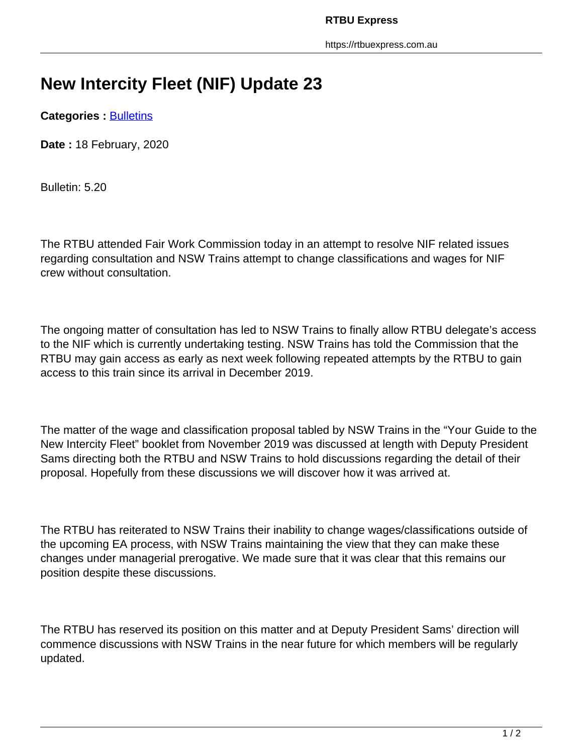## **New Intercity Fleet (NIF) Update 23**

**Categories : [Bulletins](https://rtbuexpress.com.au/category/news/bulletins/)** 

**Date :** 18 February, 2020

Bulletin: 5.20

The RTBU attended Fair Work Commission today in an attempt to resolve NIF related issues regarding consultation and NSW Trains attempt to change classifications and wages for NIF crew without consultation.

The ongoing matter of consultation has led to NSW Trains to finally allow RTBU delegate's access to the NIF which is currently undertaking testing. NSW Trains has told the Commission that the RTBU may gain access as early as next week following repeated attempts by the RTBU to gain access to this train since its arrival in December 2019.

The matter of the wage and classification proposal tabled by NSW Trains in the "Your Guide to the New Intercity Fleet" booklet from November 2019 was discussed at length with Deputy President Sams directing both the RTBU and NSW Trains to hold discussions regarding the detail of their proposal. Hopefully from these discussions we will discover how it was arrived at.

The RTBU has reiterated to NSW Trains their inability to change wages/classifications outside of the upcoming EA process, with NSW Trains maintaining the view that they can make these changes under managerial prerogative. We made sure that it was clear that this remains our position despite these discussions.

The RTBU has reserved its position on this matter and at Deputy President Sams' direction will commence discussions with NSW Trains in the near future for which members will be regularly updated.